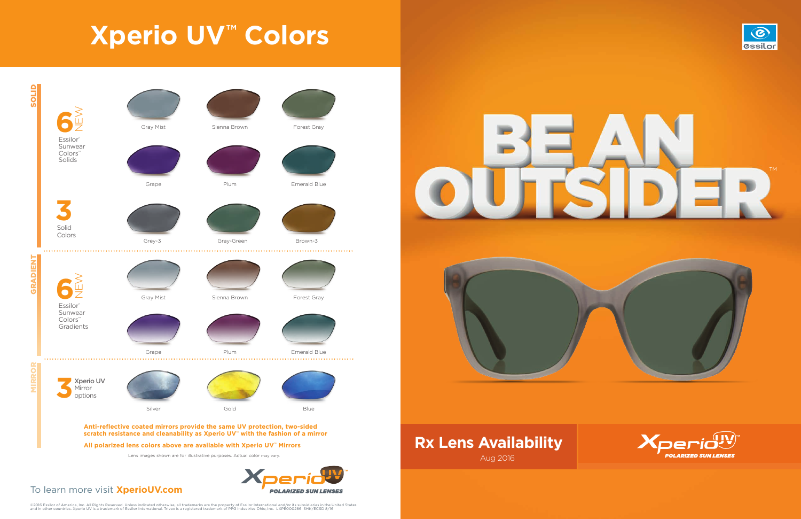## **Rx Lens Availability** Aug 2016





### To learn more visit **XperioUV.com**

©2016 Essilor of America, Inc. All Rights Reserved. Unless indicated otherwise, all trademarks are the property of Essilor International and/or its subsidiaries in the United States<br>and in other countries. Xperio UV is a t





### **All polarized lens colors above are available with Xperio UV™ Mirrors**

# **Xperio UV™ Colors**

SOLID

GRADIENT

MIRROR

**IRROR** 



Lens images shown are for illustrative purposes. Actual color may vary.

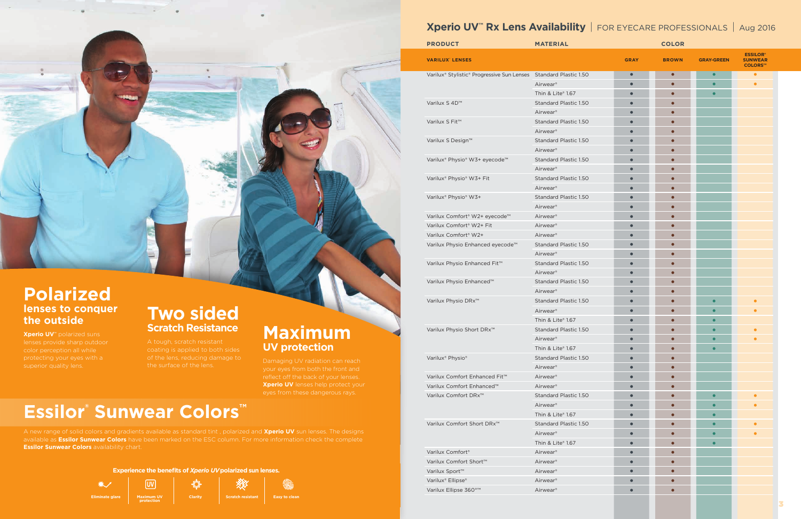## **Polarized lenses to conquer the outside**

**Xperio UV™** polarized suns color perception all while protecting your eyes with a

## **Two sided Scratch Resistance**

## **Maximum**<br>UV protection

**Xperio UV** lenses help protect your

## **Xperio UV™ Rx Lens Availability** | FOR EYECARE PROFESSIONALS | Aug 2016

A new range of solid colors and gradients available as standard tint , polarized and **Xperio UV** sun lenses. The designs available as **Essilor Sunwear Colors** have been marked on the ESC column. For more information check the complete **Essilor Sunwear Colors** availability chart.

| <b>PRODUCT</b>                                                   | <b>MATERIAL</b>       |             |              |                   |                                                     |
|------------------------------------------------------------------|-----------------------|-------------|--------------|-------------------|-----------------------------------------------------|
| <b>VARILUX' LENSES</b>                                           |                       | <b>GRAY</b> | <b>BROWN</b> | <b>GRAY-GREEN</b> | <b>ESSILOR®</b><br><b>SUNWEAR</b><br><b>COLORS™</b> |
| Varilux® Stylistic® Progressive Sun Lenses Standard Plastic 1.50 |                       | $\bullet$   | $\bullet$    | $\bullet$         | $\bullet$                                           |
|                                                                  | Airwear <sup>®</sup>  | $\bullet$   | $\bullet$    | $\bullet$         | $\bullet$                                           |
|                                                                  | Thin & Lite® 1.67     | $\bullet$   | $\bullet$    | $\bullet$         |                                                     |
| Varilux S 4D™                                                    | Standard Plastic 1.50 | $\bullet$   | $\bullet$    |                   |                                                     |
|                                                                  | Airwear <sup>®</sup>  | $\bullet$   | $\bullet$    |                   |                                                     |
| Varilux S Fit™                                                   | Standard Plastic 1.50 | $\bullet$   | $\bullet$    |                   |                                                     |
|                                                                  | Airwear <sup>®</sup>  | $\bullet$   | $\bullet$    |                   |                                                     |
| Varilux S Design™                                                | Standard Plastic 1.50 | $\bullet$   | $\bullet$    |                   |                                                     |
|                                                                  | Airwear <sup>®</sup>  | $\bullet$   | $\bullet$    |                   |                                                     |
| Varilux® Physio® W3+ eyecode™                                    | Standard Plastic 1.50 | $\bullet$   | $\bullet$    |                   |                                                     |
|                                                                  | Airwear <sup>®</sup>  | $\bullet$   | $\bullet$    |                   |                                                     |
| Varilux® Physio® W3+ Fit                                         | Standard Plastic 1.50 | $\bullet$   | $\bullet$    |                   |                                                     |
|                                                                  | Airwear <sup>®</sup>  | $\bullet$   | $\bullet$    |                   |                                                     |
| Varilux <sup>®</sup> Physio® W3+                                 | Standard Plastic 1.50 | $\bullet$   | $\bullet$    |                   |                                                     |
|                                                                  | Airwear <sup>®</sup>  | $\bullet$   | $\bullet$    |                   |                                                     |
| Varilux Comfort® W2+ eyecode™                                    | Airwear <sup>®</sup>  | $\bullet$   | $\bullet$    |                   |                                                     |
| Varilux Comfort <sup>®</sup> W2+ Fit                             | Airwear <sup>®</sup>  | $\bullet$   | $\bullet$    |                   |                                                     |
| Varilux Comfort <sup>®</sup> W2+                                 | Airwear <sup>®</sup>  | $\bullet$   | $\bullet$    |                   |                                                     |
| Varilux Physio Enhanced eyecode <sup>™</sup>                     | Standard Plastic 1.50 | $\bullet$   | $\bullet$    |                   |                                                     |
|                                                                  | Airwear <sup>®</sup>  | $\bullet$   | $\bullet$    |                   |                                                     |
| Varilux Physio Enhanced Fit™                                     | Standard Plastic 1.50 | $\bullet$   | $\bullet$    |                   |                                                     |
|                                                                  | Airwear <sup>®</sup>  | $\bullet$   | $\bullet$    |                   |                                                     |
| Varilux Physio Enhanced™                                         | Standard Plastic 1.50 | $\bullet$   | $\bullet$    |                   |                                                     |
|                                                                  | Airwear <sup>®</sup>  | $\bullet$   | $\bullet$    |                   |                                                     |
| Varilux Physio DRx <sup>™</sup>                                  | Standard Plastic 1.50 | $\bullet$   | $\bullet$    | $\bullet$         | $\bullet$                                           |
|                                                                  | Airwear <sup>®</sup>  | $\bullet$   | $\bullet$    | $\bullet$         | $\bullet$                                           |
|                                                                  | Thin & Lite® 1.67     | $\bullet$   | $\bullet$    | $\bullet$         |                                                     |
| Varilux Physio Short DRx <sup>™</sup>                            | Standard Plastic 1.50 | $\bullet$   | $\bullet$    | ┍                 | $\bullet$                                           |
|                                                                  | Airwear <sup>®</sup>  | $\bullet$   | $\bullet$    | $\bullet$         |                                                     |
|                                                                  | Thin & Lite® 1.67     | $\bullet$   | $\bullet$    | $\bullet$         |                                                     |
| Varilux <sup>®</sup> Physio®                                     | Standard Plastic 1.50 | $\bullet$   | $\bullet$    |                   |                                                     |
|                                                                  | Airwear <sup>®</sup>  | $\bullet$   | $\bullet$    |                   |                                                     |
| Varilux Comfort Enhanced Fit™                                    | Airwear <sup>®</sup>  | $\bullet$   | $\bullet$    |                   |                                                     |
| Varilux Comfort Enhanced™                                        | Airwear <sup>®</sup>  | $\bullet$   | $\bullet$    |                   |                                                     |
| Varilux Comfort DRx <sup>™</sup>                                 | Standard Plastic 1.50 | $\bullet$   | $\bullet$    | $\bullet$         | $\bullet$                                           |
|                                                                  | Airwear <sup>®</sup>  | $\bullet$   | $\bullet$    | $\bullet$         | $\bullet$                                           |
|                                                                  | Thin & Lite® 1.67     | $\bullet$   | $\bullet$    | $\bullet$         |                                                     |
| Varilux Comfort Short DRx <sup>™</sup>                           | Standard Plastic 1.50 | $\bullet$   | $\bullet$    | $\bullet$         | $\bullet$                                           |
|                                                                  | Airwear <sup>®</sup>  | $\bullet$   | $\bullet$    | $\bullet$         | $\bullet$                                           |
|                                                                  | Thin & Lite® 1.67     | $\bullet$   | $\bullet$    | $\bullet$         |                                                     |
| Varilux Comfort <sup>®</sup>                                     | Airwear <sup>®</sup>  | $\bullet$   | $\bullet$    |                   |                                                     |
| Varilux Comfort Short™                                           | Airwear <sup>®</sup>  | $\bullet$   | $\bullet$    |                   |                                                     |
| Varilux Sport <sup>™</sup>                                       | Airwear <sup>®</sup>  | $\bullet$   | $\bullet$    |                   |                                                     |
| Varilux® Ellipse®                                                | Airwear <sup>®</sup>  | $\bullet$   | $\bullet$    |                   |                                                     |
| Varilux Ellipse 360°™                                            | Airwear <sup>®</sup>  | $\bullet$   | $\bullet$    |                   |                                                     |
|                                                                  |                       |             |              |                   |                                                     |

## **Essilor® Sunwear Colors™**



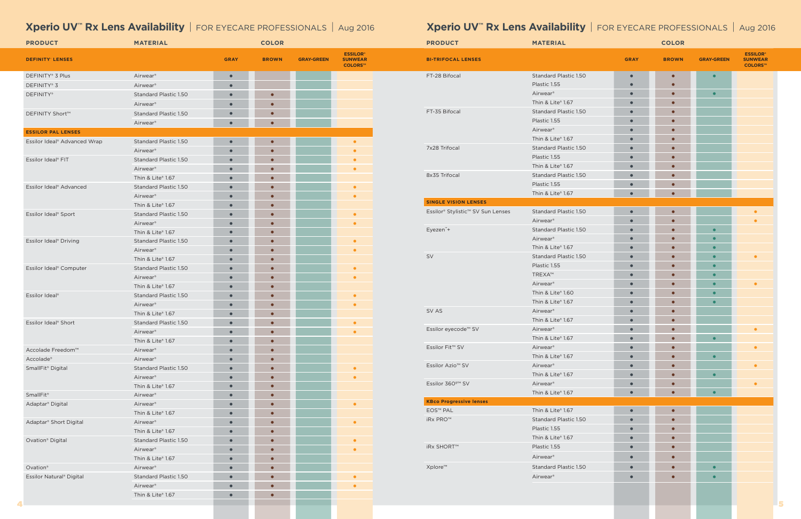## **Xperio UV<sup>™</sup> Rx Lens Availability** | FOR EYECARE PROFESSIONALS | Aug 2016 *Xperio UV<sup>™</sup> Rx Lens Availability* | FOR EYECARE PROFESSIONALS | Aug 2016

| <b>PRODUCT</b>                           | <b>MATERIAL</b>              |             | <b>COLOR</b> |                   |                                              | <b>PRODUCT</b>                    | <b>MATERIAL</b>       |             | <b>COLOR</b> |                   |                                              |
|------------------------------------------|------------------------------|-------------|--------------|-------------------|----------------------------------------------|-----------------------------------|-----------------------|-------------|--------------|-------------------|----------------------------------------------|
| <b>DEFINITY LENSES</b>                   |                              | <b>GRAY</b> | <b>BROWN</b> | <b>GRAY-GREEN</b> | <b>ESSILOR®</b><br><b>SUNWEAR</b><br>COLORS™ | <b>BI-TRIFOCAL LENSES</b>         |                       | <b>GRAY</b> | <b>BROWN</b> | <b>GRAY-GREEN</b> | <b>ESSILOR®</b><br><b>SUNWEAR</b><br>COLORS™ |
| DEFINITY® 3 Plus                         | Airwear®                     |             |              |                   |                                              | FT-28 Bifocal                     | Standard Plastic 1.50 |             |              |                   |                                              |
| DEFINITY® 3                              | Airwear®                     |             |              |                   |                                              |                                   | Plastic 1.55          | $\bullet$   | $\bullet$    |                   |                                              |
| DEFINITY®                                | Standard Plastic 1.50        |             |              |                   |                                              |                                   | Airwear <sup>®</sup>  | $\bullet$   | $\bullet$    | $\bullet$         |                                              |
|                                          | Airwear <sup>®</sup>         | $\bullet$   |              |                   |                                              |                                   | Thin & Lite® 1.67     | $\bullet$   | $\bullet$    |                   |                                              |
| <b>DEFINITY Short™</b>                   | Standard Plastic 1.50        | $\bullet$   | $\bullet$    |                   |                                              | FT-35 Bifocal                     | Standard Plastic 1.50 | $\bullet$   | $\bullet$    |                   |                                              |
|                                          | Airwear®                     | $\bullet$   |              |                   |                                              |                                   | Plastic 1.55          | $\bullet$   | $\bullet$    |                   |                                              |
| <b>ESSILOR PAL LENSES</b>                |                              |             |              |                   |                                              |                                   | Airwear <sup>®</sup>  | $\bullet$   | $\bullet$    |                   |                                              |
| Essilor Ideal <sup>®</sup> Advanced Wrap | Standard Plastic 1.50        |             |              |                   |                                              |                                   | Thin & Lite® 1.67     | $\bullet$   | $\bullet$    |                   |                                              |
|                                          | Airwear®                     |             |              |                   |                                              | 7x28 Trifocal                     | Standard Plastic 1.50 | $\bullet$   | $\bullet$    |                   |                                              |
| Essilor Ideal® FIT                       | Standard Plastic 1.50        |             |              |                   |                                              |                                   | Plastic 1.55          | $\bullet$   | $\bullet$    |                   |                                              |
|                                          | Airwear®                     | $\bullet$   |              |                   |                                              |                                   | Thin & Lite® 1.67     | $\bullet$   | $\bullet$    |                   |                                              |
|                                          | Thin & Lite® 1.67            |             |              |                   |                                              | 8x35 Trifocal                     | Standard Plastic 1.50 | $\bullet$   | $\bullet$    |                   |                                              |
| Essilor Ideal® Advanced                  | Standard Plastic 1.50        |             |              |                   |                                              |                                   | Plastic 1.55          | $\bullet$   | $\bullet$    |                   |                                              |
|                                          | Airwear <sup>®</sup>         | $\bullet$   |              |                   | $\bullet$                                    |                                   | Thin & Lite® 1.67     | $\bullet$   | $\bullet$    |                   |                                              |
|                                          | Thin & Lite® 1.67            |             |              |                   |                                              | <b>SINGLE VISION LENSES</b>       |                       |             |              |                   |                                              |
| Essilor Ideal® Sport                     | <b>Standard Plastic 1.50</b> | $\bullet$   |              |                   |                                              | Essilor® Stylistic™ SV Sun Lenses | Standard Plastic 1.50 | $\bullet$   | $\bullet$    |                   | $\bullet$                                    |
|                                          | Airwear <sup>®</sup>         | $\bullet$   | $\bullet$    |                   |                                              |                                   | Airwear <sup>®</sup>  | $\bullet$   | $\bullet$    |                   | $\bullet$                                    |
|                                          | Thin & Lite® 1.67            |             |              |                   |                                              | Eyezen <sup>"+</sup>              | Standard Plastic 1.50 | $\bullet$   | $\bullet$    | $\bullet$         |                                              |
| Essilor Ideal® Driving                   | Standard Plastic 1.50        | $\bullet$   |              |                   |                                              |                                   | Airwear <sup>®</sup>  | $\bullet$   | $\bullet$    | $\bullet$         |                                              |
|                                          | Airwear <sup>®</sup>         |             |              |                   |                                              |                                   | Thin & Lite® 1.67     | $\bullet$   | $\bullet$    | $\bullet$         |                                              |
|                                          | Thin & Lite® 1.67            | $\bullet$   |              |                   |                                              | SV                                | Standard Plastic 1.50 | $\bullet$   | $\bullet$    | $\bullet$         | $\bullet$                                    |
| Essilor Ideal® Computer                  | Standard Plastic 1.50        | $\bullet$   |              |                   |                                              |                                   | Plastic 1.55          | $\bullet$   | $\bullet$    | $\bullet$         |                                              |
|                                          | Airwear <sup>®</sup>         | $\bullet$   |              |                   |                                              |                                   | TREXA™                | $\bullet$   | $\bullet$    | $\bullet$         |                                              |
|                                          | Thin & Lite® 1.67            | $\bullet$   | $\bullet$    |                   |                                              |                                   | Airwear <sup>®</sup>  | $\bullet$   | $\bullet$    | $\bullet$         |                                              |
| Essilor Ideal®                           | Standard Plastic 1.50        |             |              |                   |                                              |                                   | Thin & Lite® 1.60     | $\bullet$   | $\bullet$    | $\bullet$         |                                              |
|                                          | Airwear <sup>®</sup>         | $\bullet$   |              |                   |                                              |                                   | Thin & Lite® 1.67     | $\bullet$   | $\bullet$    | $\bullet$         |                                              |
|                                          | Thin & Lite® 1.67            | $\bullet$   | $\bullet$    |                   |                                              | SV AS                             | Airwear <sup>®</sup>  | $\bullet$   | $\bullet$    |                   |                                              |
| Essilor Ideal® Short                     | Standard Plastic 1.50        |             |              |                   |                                              |                                   | Thin & Lite® 1.67     | $\bullet$   | $\bullet$    |                   |                                              |
|                                          | Airwear®                     | $\bullet$   | $\bullet$    |                   |                                              | Essilor eyecode <sup>™</sup> SV   | Airwear <sup>®</sup>  | $\bullet$   | $\bullet$    |                   | $\bullet$                                    |
|                                          | Thin & Lite® 1.67            | $\bullet$   | $\bullet$    |                   |                                              |                                   | Thin & Lite® 1.67     | $\bullet$   | $\bullet$    | $\bullet$         |                                              |
| Accolade Freedom™                        | Airwear <sup>®</sup>         |             |              |                   |                                              | Essilor Fit™ SV                   | Airwear <sup>®</sup>  | $\bullet$   |              |                   | $\bullet$                                    |
| Accolade®                                | Airwear <sup>®</sup>         |             |              |                   |                                              |                                   | Thin & Lite® 1.67     | $\bullet$   | $\bullet$    | $\bullet$         |                                              |
| SmallFit <sup>®</sup> Digital            | <b>Standard Plastic 1.50</b> |             |              |                   | $\bullet$                                    | Essilor Azio <sup>™</sup> SV      | Airwear <sup>®</sup>  | $\bullet$   | $\bullet$    |                   | $\bullet$                                    |
|                                          | Airwear <sup>®</sup>         | $\bullet$   | $\bullet$    |                   |                                              |                                   | Thin & Lite® 1.67     | $\bullet$   | $\bullet$    | $\bullet$         |                                              |
|                                          | Thin & Lite® 1.67            |             |              |                   |                                              | Essilor 360 <sup>°™</sup> SV      | Airwear <sup>®</sup>  | $\bullet$   |              |                   | $\bullet$                                    |
| SmallFit <sup>®</sup>                    | Airwear <sup>®</sup>         | $\bullet$   |              |                   |                                              |                                   | Thin & Lite® 1.67     | $\bullet$   | $\bullet$    | $\bullet$         |                                              |
| Adaptar <sup>®</sup> Digital             | Airwear <sup>®</sup>         | $\bullet$   | $\bullet$    |                   | $\bullet$                                    | <b>KBco Progressive lenses</b>    |                       |             |              |                   |                                              |
|                                          | Thin & Lite® 1.67            |             |              |                   |                                              | <b>EOS™ PAL</b>                   | Thin & Lite® 1.67     | $\bullet$   | $\bullet$    |                   |                                              |
| Adaptar <sup>®</sup> Short Digital       | Airwear <sup>®</sup>         | $\bullet$   | $\bullet$    |                   | $\bullet$                                    | <b>iRx PRO™</b>                   | Standard Plastic 1.50 | $\bullet$   | $\bullet$    |                   |                                              |
|                                          | Thin & Lite® 1.67            | $\bullet$   | $\bullet$    |                   |                                              |                                   | Plastic 1.55          | $\bullet$   | $\bullet$    |                   |                                              |
| Ovation <sup>®</sup> Digital             | Standard Plastic 1.50        |             |              |                   |                                              |                                   | Thin & Lite® 1.67     | $\bullet$   | $\bullet$    |                   |                                              |
|                                          | Airwear <sup>®</sup>         | $\bullet$   |              |                   |                                              | <b>iRx SHORT™</b>                 | Plastic 1.55          | $\bullet$   | $\bullet$    |                   |                                              |
|                                          | Thin & Lite® 1.67            |             | $\bullet$    |                   |                                              |                                   | Airwear <sup>®</sup>  | $\bullet$   | $\bullet$    |                   |                                              |
| Ovation®                                 | Airwear <sup>®</sup>         |             | $\bullet$    |                   |                                              | Xplore™                           | Standard Plastic 1.50 | $\bullet$   | $\bullet$    | $\bullet$         |                                              |
| Essilor Natural® Digital                 | Standard Plastic 1.50        |             | $\bullet$    |                   | $\bullet$                                    |                                   | Airwear <sup>®</sup>  | $\bullet$   | $\bullet$    | $\bullet$         |                                              |
|                                          | Airwear <sup>®</sup>         |             |              |                   | $\bullet$                                    |                                   |                       |             |              |                   |                                              |
|                                          | Thin & Lite® 1.67            | $\bullet$   | $\bullet$    |                   |                                              |                                   |                       |             |              |                   |                                              |
|                                          |                              |             |              |                   |                                              |                                   |                       |             |              |                   |                                              |